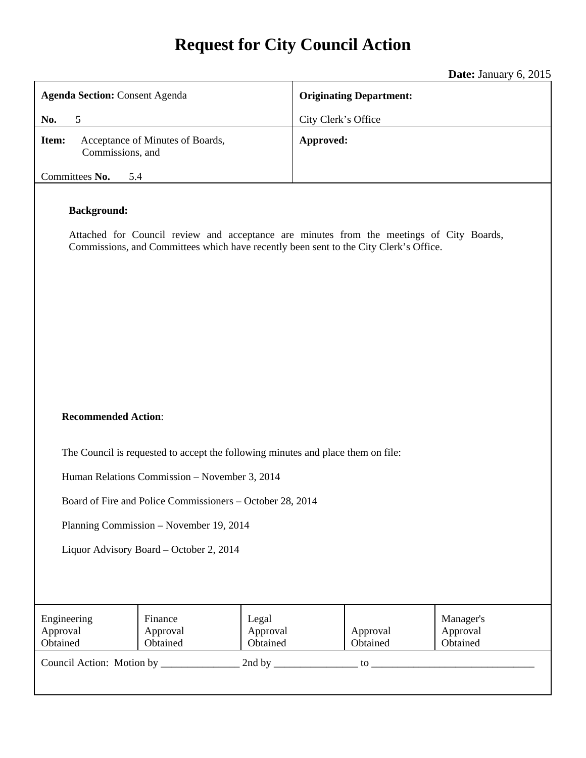# **Request for City Council Action**

**Date:** January 6, 2015

|                                                                                                                                                                                                         |                                 |                               |                                | Duce. Julium y<br>v, zv1v         |  |
|---------------------------------------------------------------------------------------------------------------------------------------------------------------------------------------------------------|---------------------------------|-------------------------------|--------------------------------|-----------------------------------|--|
| <b>Agenda Section: Consent Agenda</b>                                                                                                                                                                   |                                 |                               | <b>Originating Department:</b> |                                   |  |
| No.<br>5                                                                                                                                                                                                |                                 |                               | City Clerk's Office            |                                   |  |
| Acceptance of Minutes of Boards,<br>Item:<br>Commissions, and                                                                                                                                           |                                 |                               | Approved:                      |                                   |  |
| Committees No.<br>5.4                                                                                                                                                                                   |                                 |                               |                                |                                   |  |
| <b>Background:</b><br>Attached for Council review and acceptance are minutes from the meetings of City Boards,<br>Commissions, and Committees which have recently been sent to the City Clerk's Office. |                                 |                               |                                |                                   |  |
| <b>Recommended Action:</b><br>The Council is requested to accept the following minutes and place them on file:                                                                                          |                                 |                               |                                |                                   |  |
| Human Relations Commission - November 3, 2014                                                                                                                                                           |                                 |                               |                                |                                   |  |
| Board of Fire and Police Commissioners – October 28, 2014                                                                                                                                               |                                 |                               |                                |                                   |  |
| Planning Commission - November 19, 2014                                                                                                                                                                 |                                 |                               |                                |                                   |  |
| Liquor Advisory Board - October 2, 2014                                                                                                                                                                 |                                 |                               |                                |                                   |  |
| Engineering<br>Approval<br>Obtained                                                                                                                                                                     | Finance<br>Approval<br>Obtained | Legal<br>Approval<br>Obtained | Approval<br>Obtained           | Manager's<br>Approval<br>Obtained |  |
|                                                                                                                                                                                                         |                                 |                               |                                |                                   |  |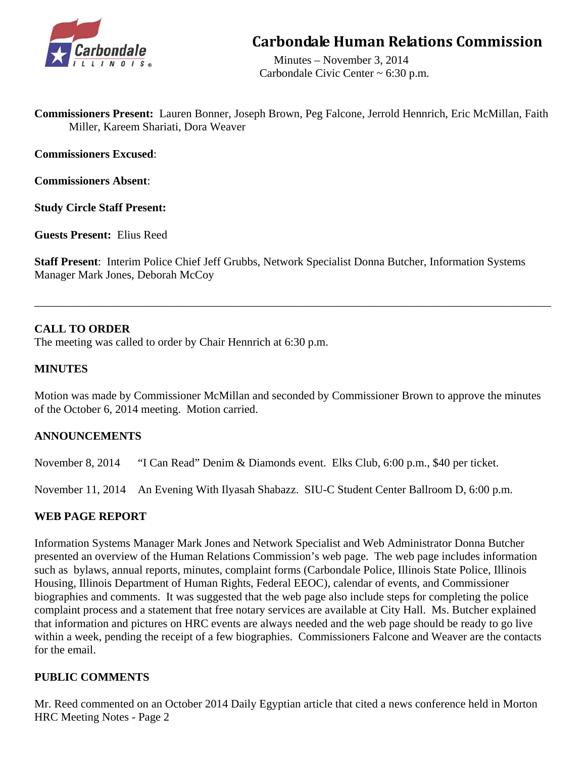

# **Carbondale Human Relations Commission**

 Minutes – November 3, 2014 Carbondale Civic Center ~ 6:30 p.m.

**Commissioners Present:** Lauren Bonner, Joseph Brown, Peg Falcone, Jerrold Hennrich, Eric McMillan, Faith Miller, Kareem Shariati, Dora Weaver

**Commissioners Excused**:

**Commissioners Absent**:

**Study Circle Staff Present:** 

**Guests Present:** Elius Reed

**Staff Present**: Interim Police Chief Jeff Grubbs, Network Specialist Donna Butcher, Information Systems Manager Mark Jones, Deborah McCoy

\_\_\_\_\_\_\_\_\_\_\_\_\_\_\_\_\_\_\_\_\_\_\_\_\_\_\_\_\_\_\_\_\_\_\_\_\_\_\_\_\_\_\_\_\_\_\_\_\_\_\_\_\_\_\_\_\_\_\_\_\_\_\_\_\_\_\_\_\_\_\_\_\_\_\_\_\_\_\_\_\_\_\_\_\_\_\_\_\_\_

# **CALL TO ORDER**

The meeting was called to order by Chair Hennrich at 6:30 p.m.

# **MINUTES**

Motion was made by Commissioner McMillan and seconded by Commissioner Brown to approve the minutes of the October 6, 2014 meeting. Motion carried.

# **ANNOUNCEMENTS**

November 8, 2014 "I Can Read" Denim & Diamonds event. Elks Club, 6:00 p.m., \$40 per ticket.

November 11, 2014 An Evening With Ilyasah Shabazz. SIU-C Student Center Ballroom D, 6:00 p.m.

# **WEB PAGE REPORT**

Information Systems Manager Mark Jones and Network Specialist and Web Administrator Donna Butcher presented an overview of the Human Relations Commission's web page. The web page includes information such as bylaws, annual reports, minutes, complaint forms (Carbondale Police, Illinois State Police, Illinois Housing, Illinois Department of Human Rights, Federal EEOC), calendar of events, and Commissioner biographies and comments. It was suggested that the web page also include steps for completing the police complaint process and a statement that free notary services are available at City Hall. Ms. Butcher explained that information and pictures on HRC events are always needed and the web page should be ready to go live within a week, pending the receipt of a few biographies. Commissioners Falcone and Weaver are the contacts for the email.

# **PUBLIC COMMENTS**

Mr. Reed commented on an October 2014 Daily Egyptian article that cited a news conference held in Morton HRC Meeting Notes - Page 2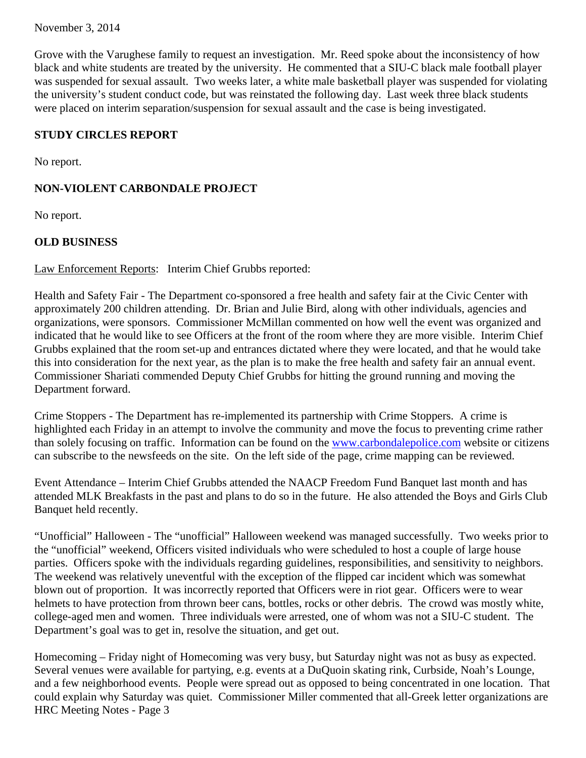November 3, 2014

Grove with the Varughese family to request an investigation. Mr. Reed spoke about the inconsistency of how black and white students are treated by the university. He commented that a SIU-C black male football player was suspended for sexual assault. Two weeks later, a white male basketball player was suspended for violating the university's student conduct code, but was reinstated the following day. Last week three black students were placed on interim separation/suspension for sexual assault and the case is being investigated.

# **STUDY CIRCLES REPORT**

No report.

# **NON-VIOLENT CARBONDALE PROJECT**

No report.

# **OLD BUSINESS**

Law Enforcement Reports: Interim Chief Grubbs reported:

Health and Safety Fair - The Department co-sponsored a free health and safety fair at the Civic Center with approximately 200 children attending. Dr. Brian and Julie Bird, along with other individuals, agencies and organizations, were sponsors. Commissioner McMillan commented on how well the event was organized and indicated that he would like to see Officers at the front of the room where they are more visible. Interim Chief Grubbs explained that the room set-up and entrances dictated where they were located, and that he would take this into consideration for the next year, as the plan is to make the free health and safety fair an annual event. Commissioner Shariati commended Deputy Chief Grubbs for hitting the ground running and moving the Department forward.

Crime Stoppers - The Department has re-implemented its partnership with Crime Stoppers. A crime is highlighted each Friday in an attempt to involve the community and move the focus to preventing crime rather than solely focusing on traffic. Information can be found on the www.carbondalepolice.com website or citizens can subscribe to the newsfeeds on the site. On the left side of the page, crime mapping can be reviewed.

Event Attendance – Interim Chief Grubbs attended the NAACP Freedom Fund Banquet last month and has attended MLK Breakfasts in the past and plans to do so in the future. He also attended the Boys and Girls Club Banquet held recently.

"Unofficial" Halloween - The "unofficial" Halloween weekend was managed successfully. Two weeks prior to the "unofficial" weekend, Officers visited individuals who were scheduled to host a couple of large house parties. Officers spoke with the individuals regarding guidelines, responsibilities, and sensitivity to neighbors. The weekend was relatively uneventful with the exception of the flipped car incident which was somewhat blown out of proportion. It was incorrectly reported that Officers were in riot gear. Officers were to wear helmets to have protection from thrown beer cans, bottles, rocks or other debris. The crowd was mostly white, college-aged men and women. Three individuals were arrested, one of whom was not a SIU-C student. The Department's goal was to get in, resolve the situation, and get out.

Homecoming – Friday night of Homecoming was very busy, but Saturday night was not as busy as expected. Several venues were available for partying, e.g. events at a DuQuoin skating rink, Curbside, Noah's Lounge, and a few neighborhood events. People were spread out as opposed to being concentrated in one location. That could explain why Saturday was quiet. Commissioner Miller commented that all-Greek letter organizations are HRC Meeting Notes - Page 3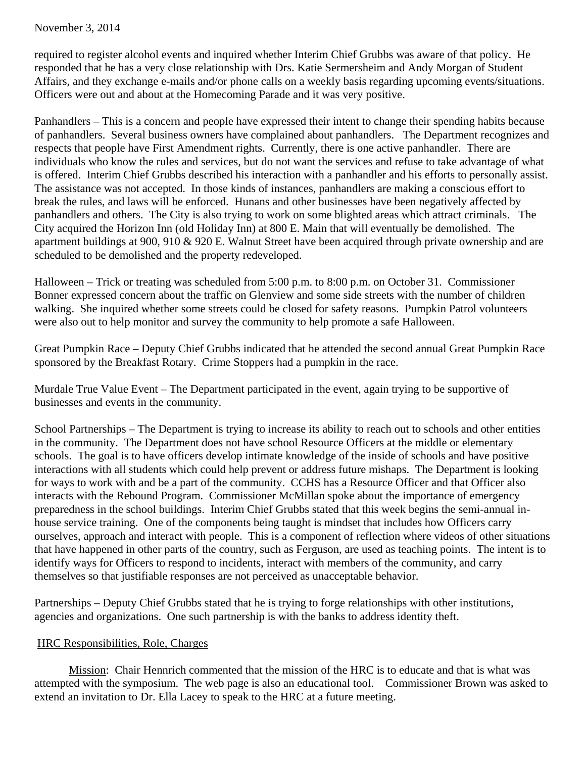November 3, 2014

required to register alcohol events and inquired whether Interim Chief Grubbs was aware of that policy. He responded that he has a very close relationship with Drs. Katie Sermersheim and Andy Morgan of Student Affairs, and they exchange e-mails and/or phone calls on a weekly basis regarding upcoming events/situations. Officers were out and about at the Homecoming Parade and it was very positive.

Panhandlers – This is a concern and people have expressed their intent to change their spending habits because of panhandlers. Several business owners have complained about panhandlers. The Department recognizes and respects that people have First Amendment rights. Currently, there is one active panhandler. There are individuals who know the rules and services, but do not want the services and refuse to take advantage of what is offered. Interim Chief Grubbs described his interaction with a panhandler and his efforts to personally assist. The assistance was not accepted. In those kinds of instances, panhandlers are making a conscious effort to break the rules, and laws will be enforced. Hunans and other businesses have been negatively affected by panhandlers and others. The City is also trying to work on some blighted areas which attract criminals. The City acquired the Horizon Inn (old Holiday Inn) at 800 E. Main that will eventually be demolished. The apartment buildings at 900, 910 & 920 E. Walnut Street have been acquired through private ownership and are scheduled to be demolished and the property redeveloped.

Halloween – Trick or treating was scheduled from 5:00 p.m. to 8:00 p.m. on October 31. Commissioner Bonner expressed concern about the traffic on Glenview and some side streets with the number of children walking. She inquired whether some streets could be closed for safety reasons. Pumpkin Patrol volunteers were also out to help monitor and survey the community to help promote a safe Halloween.

Great Pumpkin Race – Deputy Chief Grubbs indicated that he attended the second annual Great Pumpkin Race sponsored by the Breakfast Rotary. Crime Stoppers had a pumpkin in the race.

Murdale True Value Event – The Department participated in the event, again trying to be supportive of businesses and events in the community.

School Partnerships – The Department is trying to increase its ability to reach out to schools and other entities in the community. The Department does not have school Resource Officers at the middle or elementary schools. The goal is to have officers develop intimate knowledge of the inside of schools and have positive interactions with all students which could help prevent or address future mishaps. The Department is looking for ways to work with and be a part of the community. CCHS has a Resource Officer and that Officer also interacts with the Rebound Program. Commissioner McMillan spoke about the importance of emergency preparedness in the school buildings. Interim Chief Grubbs stated that this week begins the semi-annual inhouse service training. One of the components being taught is mindset that includes how Officers carry ourselves, approach and interact with people. This is a component of reflection where videos of other situations that have happened in other parts of the country, such as Ferguson, are used as teaching points. The intent is to identify ways for Officers to respond to incidents, interact with members of the community, and carry themselves so that justifiable responses are not perceived as unacceptable behavior.

Partnerships – Deputy Chief Grubbs stated that he is trying to forge relationships with other institutions, agencies and organizations. One such partnership is with the banks to address identity theft.

# HRC Responsibilities, Role, Charges

Mission: Chair Hennrich commented that the mission of the HRC is to educate and that is what was attempted with the symposium. The web page is also an educational tool. Commissioner Brown was asked to extend an invitation to Dr. Ella Lacey to speak to the HRC at a future meeting.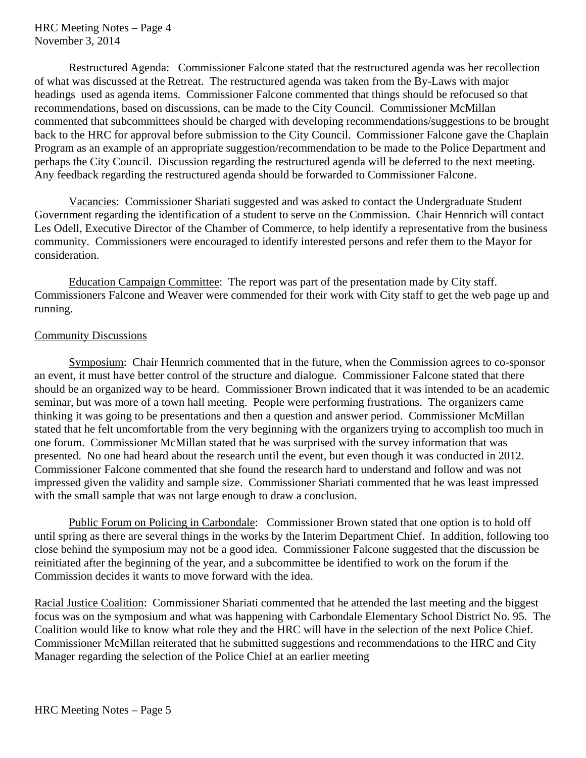Restructured Agenda: Commissioner Falcone stated that the restructured agenda was her recollection of what was discussed at the Retreat. The restructured agenda was taken from the By-Laws with major headings used as agenda items. Commissioner Falcone commented that things should be refocused so that recommendations, based on discussions, can be made to the City Council. Commissioner McMillan commented that subcommittees should be charged with developing recommendations/suggestions to be brought back to the HRC for approval before submission to the City Council. Commissioner Falcone gave the Chaplain Program as an example of an appropriate suggestion/recommendation to be made to the Police Department and perhaps the City Council. Discussion regarding the restructured agenda will be deferred to the next meeting. Any feedback regarding the restructured agenda should be forwarded to Commissioner Falcone.

 Vacancies: Commissioner Shariati suggested and was asked to contact the Undergraduate Student Government regarding the identification of a student to serve on the Commission. Chair Hennrich will contact Les Odell, Executive Director of the Chamber of Commerce, to help identify a representative from the business community. Commissioners were encouraged to identify interested persons and refer them to the Mayor for consideration.

Education Campaign Committee: The report was part of the presentation made by City staff. Commissioners Falcone and Weaver were commended for their work with City staff to get the web page up and running.

#### Community Discussions

 Symposium: Chair Hennrich commented that in the future, when the Commission agrees to co-sponsor an event, it must have better control of the structure and dialogue. Commissioner Falcone stated that there should be an organized way to be heard. Commissioner Brown indicated that it was intended to be an academic seminar, but was more of a town hall meeting. People were performing frustrations. The organizers came thinking it was going to be presentations and then a question and answer period. Commissioner McMillan stated that he felt uncomfortable from the very beginning with the organizers trying to accomplish too much in one forum. Commissioner McMillan stated that he was surprised with the survey information that was presented. No one had heard about the research until the event, but even though it was conducted in 2012. Commissioner Falcone commented that she found the research hard to understand and follow and was not impressed given the validity and sample size. Commissioner Shariati commented that he was least impressed with the small sample that was not large enough to draw a conclusion.

 Public Forum on Policing in Carbondale: Commissioner Brown stated that one option is to hold off until spring as there are several things in the works by the Interim Department Chief. In addition, following too close behind the symposium may not be a good idea. Commissioner Falcone suggested that the discussion be reinitiated after the beginning of the year, and a subcommittee be identified to work on the forum if the Commission decides it wants to move forward with the idea.

Racial Justice Coalition: Commissioner Shariati commented that he attended the last meeting and the biggest focus was on the symposium and what was happening with Carbondale Elementary School District No. 95. The Coalition would like to know what role they and the HRC will have in the selection of the next Police Chief. Commissioner McMillan reiterated that he submitted suggestions and recommendations to the HRC and City Manager regarding the selection of the Police Chief at an earlier meeting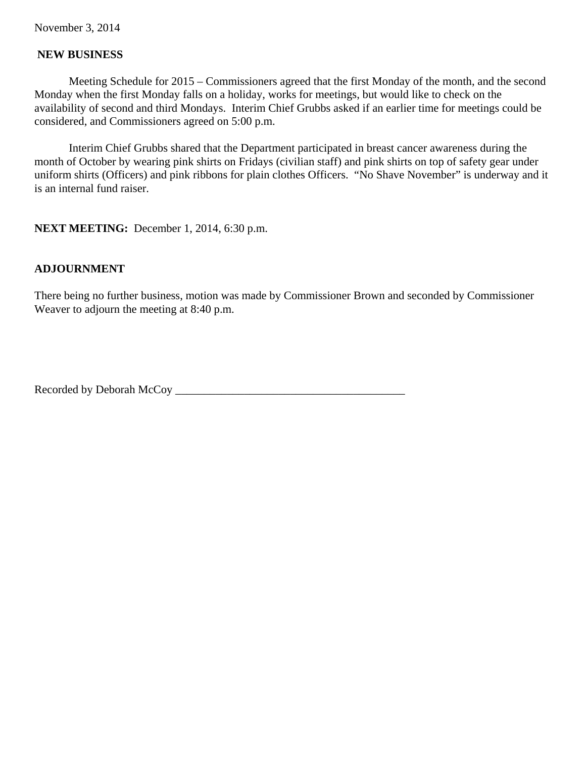## **NEW BUSINESS**

 Meeting Schedule for 2015 – Commissioners agreed that the first Monday of the month, and the second Monday when the first Monday falls on a holiday, works for meetings, but would like to check on the availability of second and third Mondays. Interim Chief Grubbs asked if an earlier time for meetings could be considered, and Commissioners agreed on 5:00 p.m.

Interim Chief Grubbs shared that the Department participated in breast cancer awareness during the month of October by wearing pink shirts on Fridays (civilian staff) and pink shirts on top of safety gear under uniform shirts (Officers) and pink ribbons for plain clothes Officers. "No Shave November" is underway and it is an internal fund raiser.

**NEXT MEETING:** December 1, 2014, 6:30 p.m.

# **ADJOURNMENT**

There being no further business, motion was made by Commissioner Brown and seconded by Commissioner Weaver to adjourn the meeting at 8:40 p.m.

Recorded by Deborah McCoy \_\_\_\_\_\_\_\_\_\_\_\_\_\_\_\_\_\_\_\_\_\_\_\_\_\_\_\_\_\_\_\_\_\_\_\_\_\_\_\_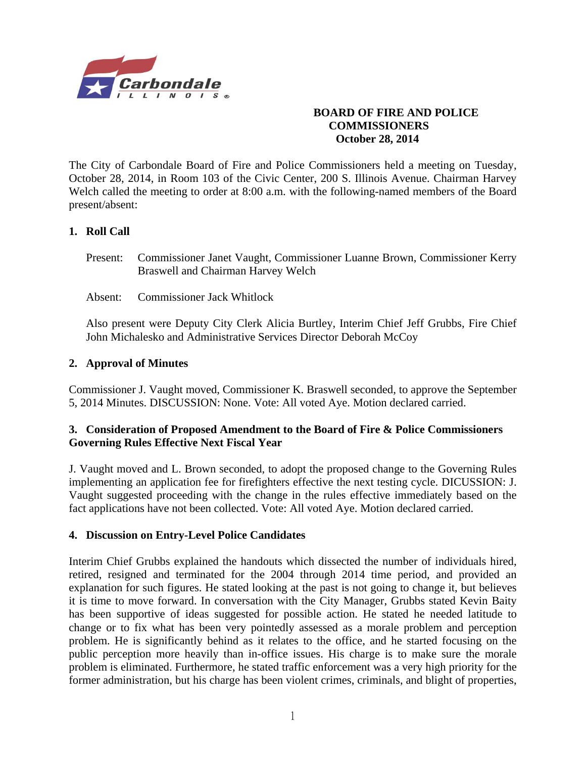

# **BOARD OF FIRE AND POLICE COMMISSIONERS October 28, 2014**

The City of Carbondale Board of Fire and Police Commissioners held a meeting on Tuesday, October 28, 2014, in Room 103 of the Civic Center, 200 S. Illinois Avenue. Chairman Harvey Welch called the meeting to order at 8:00 a.m. with the following-named members of the Board present/absent:

# **1. Roll Call**

- Present: Commissioner Janet Vaught, Commissioner Luanne Brown, Commissioner Kerry Braswell and Chairman Harvey Welch
- Absent: Commissioner Jack Whitlock

Also present were Deputy City Clerk Alicia Burtley, Interim Chief Jeff Grubbs, Fire Chief John Michalesko and Administrative Services Director Deborah McCoy

# **2. Approval of Minutes**

Commissioner J. Vaught moved, Commissioner K. Braswell seconded, to approve the September 5, 2014 Minutes. DISCUSSION: None. Vote: All voted Aye. Motion declared carried.

# **3. Consideration of Proposed Amendment to the Board of Fire & Police Commissioners Governing Rules Effective Next Fiscal Year**

J. Vaught moved and L. Brown seconded, to adopt the proposed change to the Governing Rules implementing an application fee for firefighters effective the next testing cycle. DICUSSION: J. Vaught suggested proceeding with the change in the rules effective immediately based on the fact applications have not been collected. Vote: All voted Aye. Motion declared carried.

#### **4. Discussion on Entry-Level Police Candidates**

Interim Chief Grubbs explained the handouts which dissected the number of individuals hired, retired, resigned and terminated for the 2004 through 2014 time period, and provided an explanation for such figures. He stated looking at the past is not going to change it, but believes it is time to move forward. In conversation with the City Manager, Grubbs stated Kevin Baity has been supportive of ideas suggested for possible action. He stated he needed latitude to change or to fix what has been very pointedly assessed as a morale problem and perception problem. He is significantly behind as it relates to the office, and he started focusing on the public perception more heavily than in-office issues. His charge is to make sure the morale problem is eliminated. Furthermore, he stated traffic enforcement was a very high priority for the former administration, but his charge has been violent crimes, criminals, and blight of properties,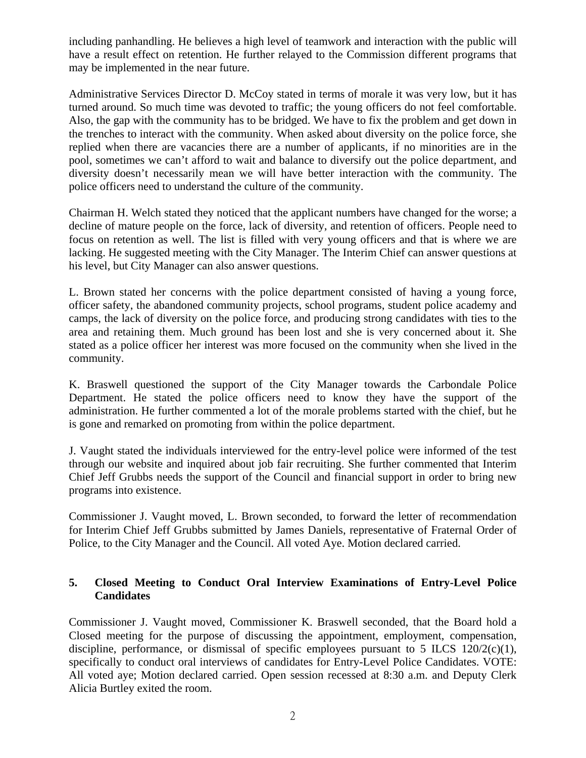including panhandling. He believes a high level of teamwork and interaction with the public will have a result effect on retention. He further relayed to the Commission different programs that may be implemented in the near future.

Administrative Services Director D. McCoy stated in terms of morale it was very low, but it has turned around. So much time was devoted to traffic; the young officers do not feel comfortable. Also, the gap with the community has to be bridged. We have to fix the problem and get down in the trenches to interact with the community. When asked about diversity on the police force, she replied when there are vacancies there are a number of applicants, if no minorities are in the pool, sometimes we can't afford to wait and balance to diversify out the police department, and diversity doesn't necessarily mean we will have better interaction with the community. The police officers need to understand the culture of the community.

Chairman H. Welch stated they noticed that the applicant numbers have changed for the worse; a decline of mature people on the force, lack of diversity, and retention of officers. People need to focus on retention as well. The list is filled with very young officers and that is where we are lacking. He suggested meeting with the City Manager. The Interim Chief can answer questions at his level, but City Manager can also answer questions.

L. Brown stated her concerns with the police department consisted of having a young force, officer safety, the abandoned community projects, school programs, student police academy and camps, the lack of diversity on the police force, and producing strong candidates with ties to the area and retaining them. Much ground has been lost and she is very concerned about it. She stated as a police officer her interest was more focused on the community when she lived in the community.

K. Braswell questioned the support of the City Manager towards the Carbondale Police Department. He stated the police officers need to know they have the support of the administration. He further commented a lot of the morale problems started with the chief, but he is gone and remarked on promoting from within the police department.

J. Vaught stated the individuals interviewed for the entry-level police were informed of the test through our website and inquired about job fair recruiting. She further commented that Interim Chief Jeff Grubbs needs the support of the Council and financial support in order to bring new programs into existence.

Commissioner J. Vaught moved, L. Brown seconded, to forward the letter of recommendation for Interim Chief Jeff Grubbs submitted by James Daniels, representative of Fraternal Order of Police, to the City Manager and the Council. All voted Aye. Motion declared carried.

# **5. Closed Meeting to Conduct Oral Interview Examinations of Entry-Level Police Candidates**

Commissioner J. Vaught moved, Commissioner K. Braswell seconded, that the Board hold a Closed meeting for the purpose of discussing the appointment, employment, compensation, discipline, performance, or dismissal of specific employees pursuant to 5 ILCS  $120/2(c)(1)$ , specifically to conduct oral interviews of candidates for Entry-Level Police Candidates. VOTE: All voted aye; Motion declared carried. Open session recessed at 8:30 a.m. and Deputy Clerk Alicia Burtley exited the room.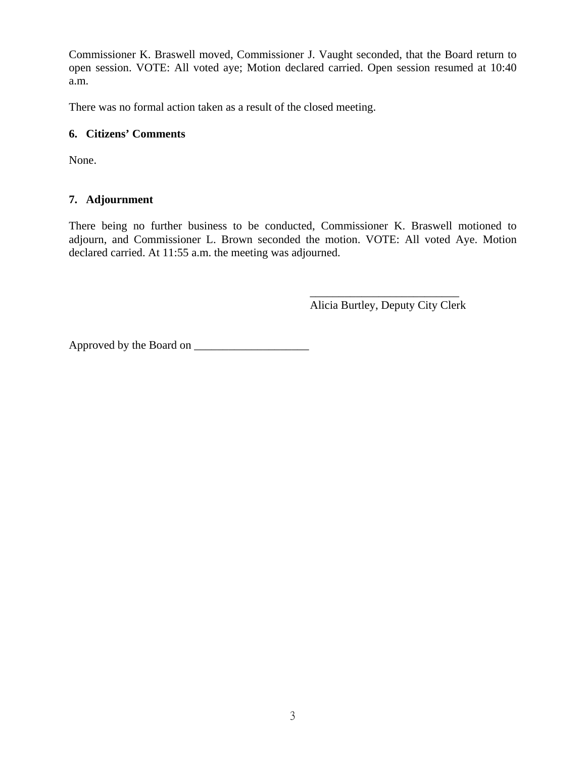Commissioner K. Braswell moved, Commissioner J. Vaught seconded, that the Board return to open session. VOTE: All voted aye; Motion declared carried. Open session resumed at 10:40 a.m.

There was no formal action taken as a result of the closed meeting.

# **6. Citizens' Comments**

None.

# **7. Adjournment**

There being no further business to be conducted, Commissioner K. Braswell motioned to adjourn, and Commissioner L. Brown seconded the motion. VOTE: All voted Aye. Motion declared carried. At 11:55 a.m. the meeting was adjourned.

 $\mathcal{L}_\text{max}$  , and the contract of the contract of the contract of the contract of the contract of the contract of the contract of the contract of the contract of the contract of the contract of the contract of the contr Alicia Burtley, Deputy City Clerk

Approved by the Board on \_\_\_\_\_\_\_\_\_\_\_\_\_\_\_\_\_\_\_\_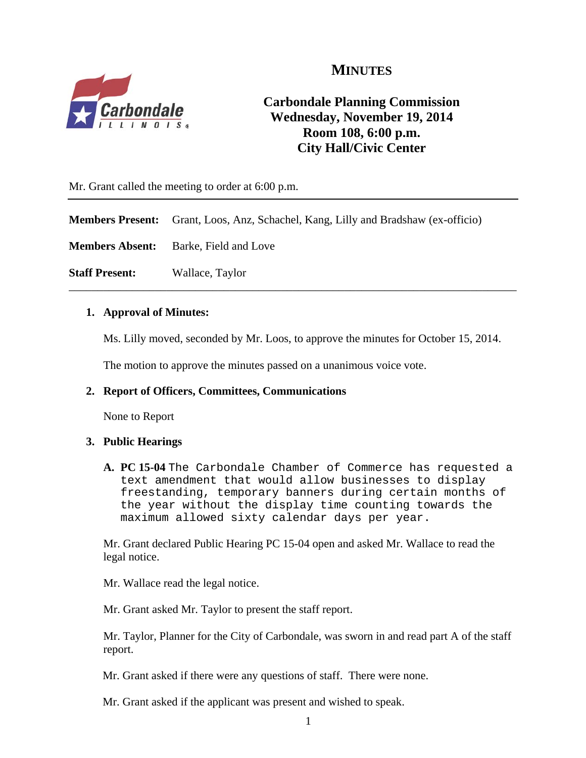# **MINUTES**



# **Carbondale Planning Commission Wednesday, November 19, 2014 Room 108, 6:00 p.m. City Hall/Civic Center**

Mr. Grant called the meeting to order at 6:00 p.m.

**Members Present:** Grant, Loos, Anz, Schachel, Kang, Lilly and Bradshaw (ex-officio)

**Members Absent:** Barke, Field and Love

**Staff Present:** Wallace, Taylor

#### **1. Approval of Minutes:**

Ms. Lilly moved, seconded by Mr. Loos, to approve the minutes for October 15, 2014.

\_\_\_\_\_\_\_\_\_\_\_\_\_\_\_\_\_\_\_\_\_\_\_\_\_\_\_\_\_\_\_\_\_\_\_\_\_\_\_\_\_\_\_\_\_\_\_\_\_\_\_\_\_\_\_\_\_\_\_\_\_\_\_\_\_\_\_\_\_\_\_\_\_\_\_\_\_\_

The motion to approve the minutes passed on a unanimous voice vote.

#### **2. Report of Officers, Committees, Communications**

None to Report

#### **3. Public Hearings**

**A. PC 15-04** The Carbondale Chamber of Commerce has requested a text amendment that would allow businesses to display freestanding, temporary banners during certain months of the year without the display time counting towards the maximum allowed sixty calendar days per year.

Mr. Grant declared Public Hearing PC 15-04 open and asked Mr. Wallace to read the legal notice.

Mr. Wallace read the legal notice.

Mr. Grant asked Mr. Taylor to present the staff report.

 Mr. Taylor, Planner for the City of Carbondale, was sworn in and read part A of the staff report.

Mr. Grant asked if there were any questions of staff. There were none.

Mr. Grant asked if the applicant was present and wished to speak.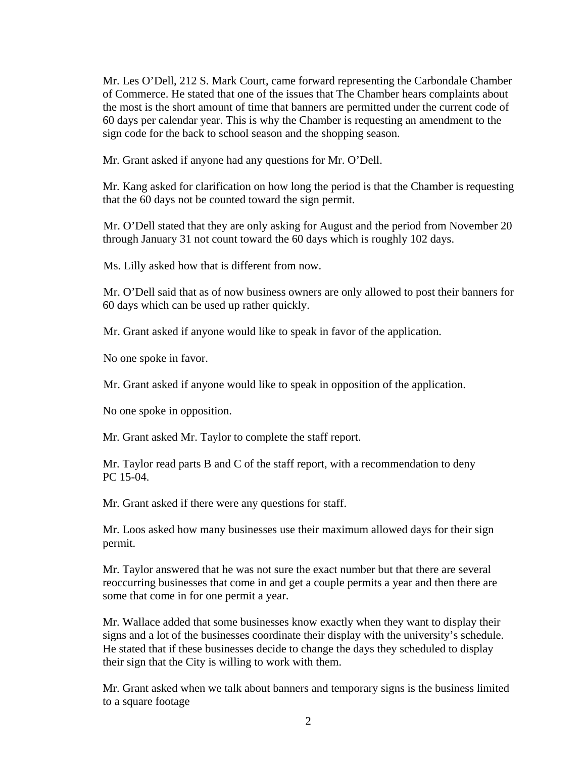Mr. Les O'Dell, 212 S. Mark Court, came forward representing the Carbondale Chamber of Commerce. He stated that one of the issues that The Chamber hears complaints about the most is the short amount of time that banners are permitted under the current code of 60 days per calendar year. This is why the Chamber is requesting an amendment to the sign code for the back to school season and the shopping season.

Mr. Grant asked if anyone had any questions for Mr. O'Dell.

Mr. Kang asked for clarification on how long the period is that the Chamber is requesting that the 60 days not be counted toward the sign permit.

Mr. O'Dell stated that they are only asking for August and the period from November 20 through January 31 not count toward the 60 days which is roughly 102 days.

Ms. Lilly asked how that is different from now.

Mr. O'Dell said that as of now business owners are only allowed to post their banners for 60 days which can be used up rather quickly.

Mr. Grant asked if anyone would like to speak in favor of the application.

No one spoke in favor.

Mr. Grant asked if anyone would like to speak in opposition of the application.

No one spoke in opposition.

Mr. Grant asked Mr. Taylor to complete the staff report.

Mr. Taylor read parts B and C of the staff report, with a recommendation to deny PC 15-04.

Mr. Grant asked if there were any questions for staff.

Mr. Loos asked how many businesses use their maximum allowed days for their sign permit.

Mr. Taylor answered that he was not sure the exact number but that there are several reoccurring businesses that come in and get a couple permits a year and then there are some that come in for one permit a year.

Mr. Wallace added that some businesses know exactly when they want to display their signs and a lot of the businesses coordinate their display with the university's schedule. He stated that if these businesses decide to change the days they scheduled to display their sign that the City is willing to work with them.

Mr. Grant asked when we talk about banners and temporary signs is the business limited to a square footage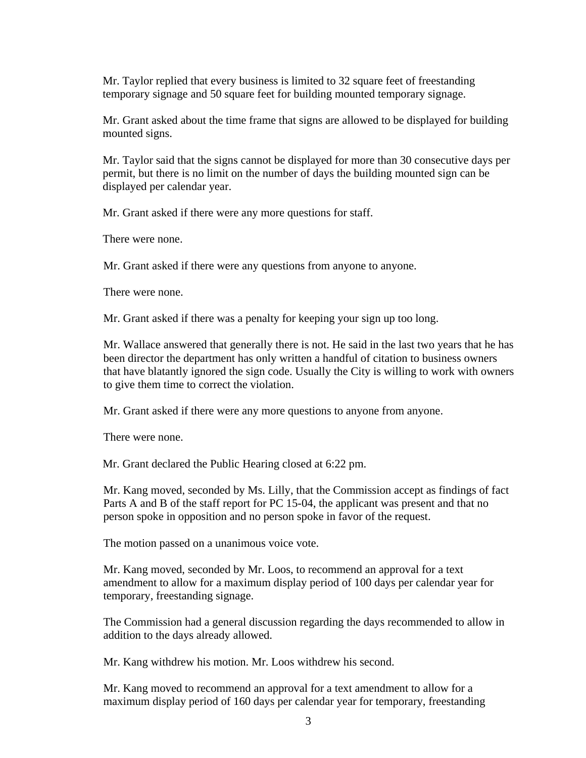Mr. Taylor replied that every business is limited to 32 square feet of freestanding temporary signage and 50 square feet for building mounted temporary signage.

Mr. Grant asked about the time frame that signs are allowed to be displayed for building mounted signs.

Mr. Taylor said that the signs cannot be displayed for more than 30 consecutive days per permit, but there is no limit on the number of days the building mounted sign can be displayed per calendar year.

Mr. Grant asked if there were any more questions for staff.

There were none.

Mr. Grant asked if there were any questions from anyone to anyone.

There were none.

Mr. Grant asked if there was a penalty for keeping your sign up too long.

Mr. Wallace answered that generally there is not. He said in the last two years that he has been director the department has only written a handful of citation to business owners that have blatantly ignored the sign code. Usually the City is willing to work with owners to give them time to correct the violation.

Mr. Grant asked if there were any more questions to anyone from anyone.

There were none.

Mr. Grant declared the Public Hearing closed at 6:22 pm.

Mr. Kang moved, seconded by Ms. Lilly, that the Commission accept as findings of fact Parts A and B of the staff report for PC 15-04, the applicant was present and that no person spoke in opposition and no person spoke in favor of the request.

The motion passed on a unanimous voice vote.

Mr. Kang moved, seconded by Mr. Loos, to recommend an approval for a text amendment to allow for a maximum display period of 100 days per calendar year for temporary, freestanding signage.

The Commission had a general discussion regarding the days recommended to allow in addition to the days already allowed.

Mr. Kang withdrew his motion. Mr. Loos withdrew his second.

Mr. Kang moved to recommend an approval for a text amendment to allow for a maximum display period of 160 days per calendar year for temporary, freestanding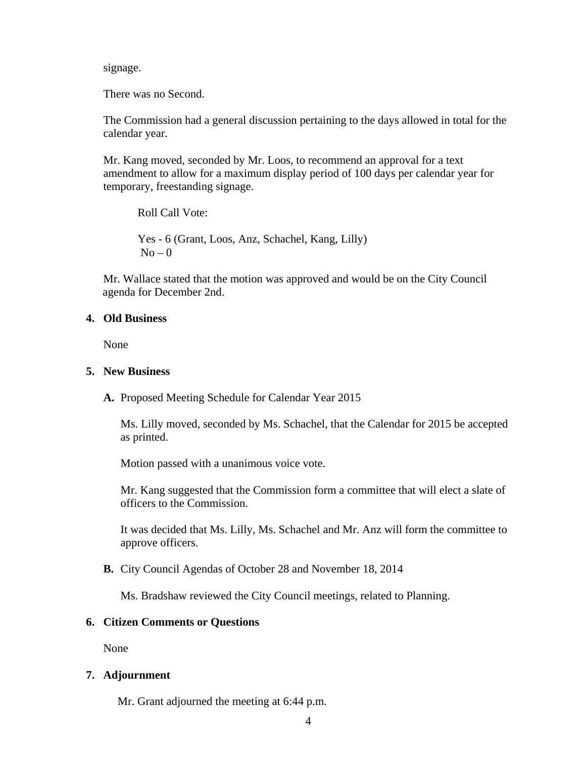signage.

There was no Second.

The Commission had a general discussion pertaining to the days allowed in total for the calendar year.

Mr. Kang moved, seconded by Mr. Loos, to recommend an approval for a text amendment to allow for a maximum display period of 100 days per calendar year for temporary, freestanding signage.

Roll Call Vote: Yes - 6 (Grant, Loos, Anz, Schachel, Kang, Lilly)  $No - 0$ 

 Mr. Wallace stated that the motion was approved and would be on the City Council agenda for December 2nd.

#### **4. Old Business**

None

#### **5. New Business**

**A.** Proposed Meeting Schedule for Calendar Year 2015

Ms. Lilly moved, seconded by Ms. Schachel, that the Calendar for 2015 be accepted as printed.

Motion passed with a unanimous voice vote.

Mr. Kang suggested that the Commission form a committee that will elect a slate of officers to the Commission.

It was decided that Ms. Lilly, Ms. Schachel and Mr. Anz will form the committee to approve officers.

**B.** City Council Agendas of October 28 and November 18, 2014

Ms. Bradshaw reviewed the City Council meetings, related to Planning.

#### **6. Citizen Comments or Questions**

None

#### **7. Adjournment**

Mr. Grant adjourned the meeting at 6:44 p.m.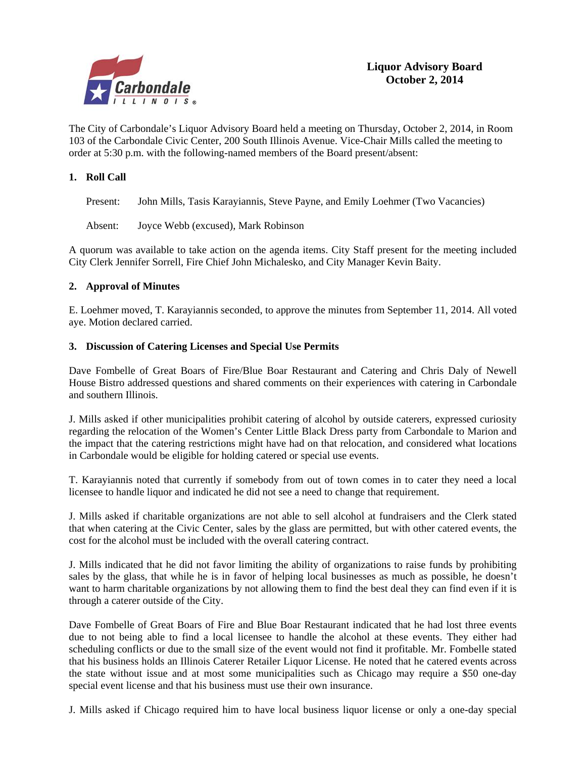

The City of Carbondale's Liquor Advisory Board held a meeting on Thursday, October 2, 2014, in Room 103 of the Carbondale Civic Center, 200 South Illinois Avenue. Vice-Chair Mills called the meeting to order at 5:30 p.m. with the following-named members of the Board present/absent:

#### **1. Roll Call**

Present: John Mills, Tasis Karayiannis, Steve Payne, and Emily Loehmer (Two Vacancies)

Absent: Joyce Webb (excused), Mark Robinson

A quorum was available to take action on the agenda items. City Staff present for the meeting included City Clerk Jennifer Sorrell, Fire Chief John Michalesko, and City Manager Kevin Baity.

#### **2. Approval of Minutes**

E. Loehmer moved, T. Karayiannis seconded, to approve the minutes from September 11, 2014. All voted aye. Motion declared carried.

#### **3. Discussion of Catering Licenses and Special Use Permits**

Dave Fombelle of Great Boars of Fire/Blue Boar Restaurant and Catering and Chris Daly of Newell House Bistro addressed questions and shared comments on their experiences with catering in Carbondale and southern Illinois.

J. Mills asked if other municipalities prohibit catering of alcohol by outside caterers, expressed curiosity regarding the relocation of the Women's Center Little Black Dress party from Carbondale to Marion and the impact that the catering restrictions might have had on that relocation, and considered what locations in Carbondale would be eligible for holding catered or special use events.

T. Karayiannis noted that currently if somebody from out of town comes in to cater they need a local licensee to handle liquor and indicated he did not see a need to change that requirement.

J. Mills asked if charitable organizations are not able to sell alcohol at fundraisers and the Clerk stated that when catering at the Civic Center, sales by the glass are permitted, but with other catered events, the cost for the alcohol must be included with the overall catering contract.

J. Mills indicated that he did not favor limiting the ability of organizations to raise funds by prohibiting sales by the glass, that while he is in favor of helping local businesses as much as possible, he doesn't want to harm charitable organizations by not allowing them to find the best deal they can find even if it is through a caterer outside of the City.

Dave Fombelle of Great Boars of Fire and Blue Boar Restaurant indicated that he had lost three events due to not being able to find a local licensee to handle the alcohol at these events. They either had scheduling conflicts or due to the small size of the event would not find it profitable. Mr. Fombelle stated that his business holds an Illinois Caterer Retailer Liquor License. He noted that he catered events across the state without issue and at most some municipalities such as Chicago may require a \$50 one-day special event license and that his business must use their own insurance.

J. Mills asked if Chicago required him to have local business liquor license or only a one-day special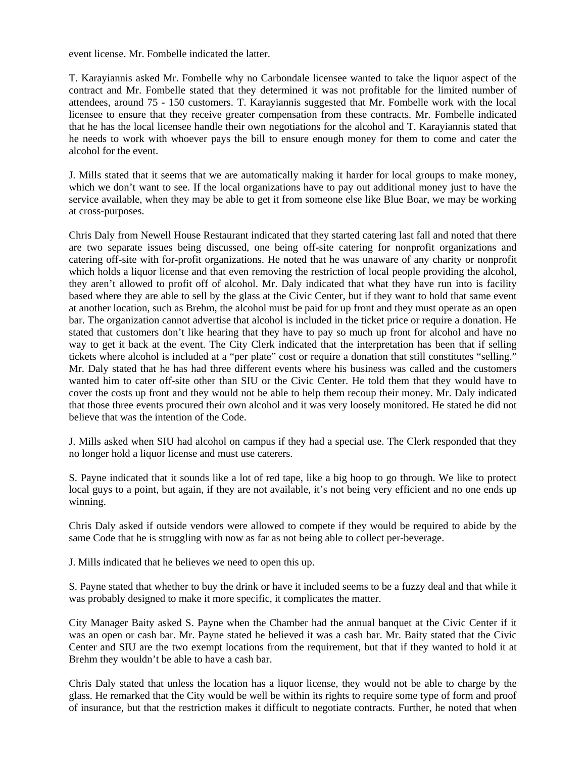event license. Mr. Fombelle indicated the latter.

T. Karayiannis asked Mr. Fombelle why no Carbondale licensee wanted to take the liquor aspect of the contract and Mr. Fombelle stated that they determined it was not profitable for the limited number of attendees, around 75 - 150 customers. T. Karayiannis suggested that Mr. Fombelle work with the local licensee to ensure that they receive greater compensation from these contracts. Mr. Fombelle indicated that he has the local licensee handle their own negotiations for the alcohol and T. Karayiannis stated that he needs to work with whoever pays the bill to ensure enough money for them to come and cater the alcohol for the event.

J. Mills stated that it seems that we are automatically making it harder for local groups to make money, which we don't want to see. If the local organizations have to pay out additional money just to have the service available, when they may be able to get it from someone else like Blue Boar, we may be working at cross-purposes.

Chris Daly from Newell House Restaurant indicated that they started catering last fall and noted that there are two separate issues being discussed, one being off-site catering for nonprofit organizations and catering off-site with for-profit organizations. He noted that he was unaware of any charity or nonprofit which holds a liquor license and that even removing the restriction of local people providing the alcohol, they aren't allowed to profit off of alcohol. Mr. Daly indicated that what they have run into is facility based where they are able to sell by the glass at the Civic Center, but if they want to hold that same event at another location, such as Brehm, the alcohol must be paid for up front and they must operate as an open bar. The organization cannot advertise that alcohol is included in the ticket price or require a donation. He stated that customers don't like hearing that they have to pay so much up front for alcohol and have no way to get it back at the event. The City Clerk indicated that the interpretation has been that if selling tickets where alcohol is included at a "per plate" cost or require a donation that still constitutes "selling." Mr. Daly stated that he has had three different events where his business was called and the customers wanted him to cater off-site other than SIU or the Civic Center. He told them that they would have to cover the costs up front and they would not be able to help them recoup their money. Mr. Daly indicated that those three events procured their own alcohol and it was very loosely monitored. He stated he did not believe that was the intention of the Code.

J. Mills asked when SIU had alcohol on campus if they had a special use. The Clerk responded that they no longer hold a liquor license and must use caterers.

S. Payne indicated that it sounds like a lot of red tape, like a big hoop to go through. We like to protect local guys to a point, but again, if they are not available, it's not being very efficient and no one ends up winning.

Chris Daly asked if outside vendors were allowed to compete if they would be required to abide by the same Code that he is struggling with now as far as not being able to collect per-beverage.

J. Mills indicated that he believes we need to open this up.

S. Payne stated that whether to buy the drink or have it included seems to be a fuzzy deal and that while it was probably designed to make it more specific, it complicates the matter.

City Manager Baity asked S. Payne when the Chamber had the annual banquet at the Civic Center if it was an open or cash bar. Mr. Payne stated he believed it was a cash bar. Mr. Baity stated that the Civic Center and SIU are the two exempt locations from the requirement, but that if they wanted to hold it at Brehm they wouldn't be able to have a cash bar.

Chris Daly stated that unless the location has a liquor license, they would not be able to charge by the glass. He remarked that the City would be well be within its rights to require some type of form and proof of insurance, but that the restriction makes it difficult to negotiate contracts. Further, he noted that when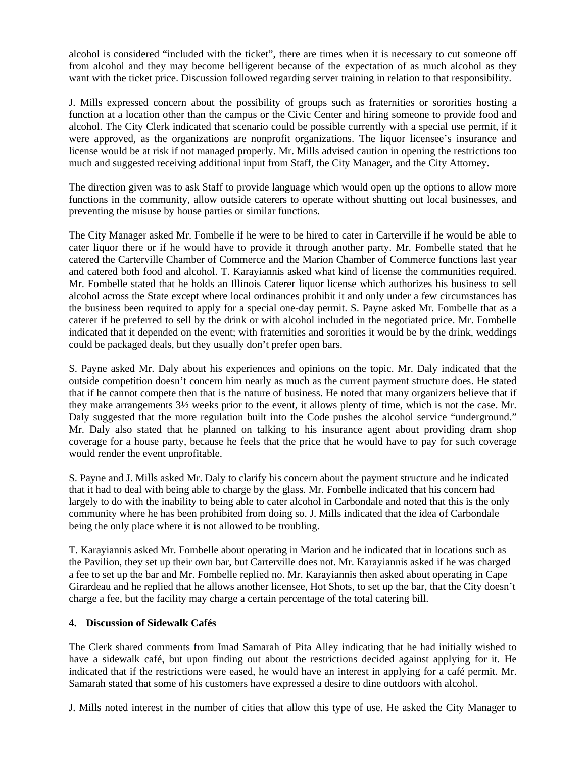alcohol is considered "included with the ticket", there are times when it is necessary to cut someone off from alcohol and they may become belligerent because of the expectation of as much alcohol as they want with the ticket price. Discussion followed regarding server training in relation to that responsibility.

J. Mills expressed concern about the possibility of groups such as fraternities or sororities hosting a function at a location other than the campus or the Civic Center and hiring someone to provide food and alcohol. The City Clerk indicated that scenario could be possible currently with a special use permit, if it were approved, as the organizations are nonprofit organizations. The liquor licensee's insurance and license would be at risk if not managed properly. Mr. Mills advised caution in opening the restrictions too much and suggested receiving additional input from Staff, the City Manager, and the City Attorney.

The direction given was to ask Staff to provide language which would open up the options to allow more functions in the community, allow outside caterers to operate without shutting out local businesses, and preventing the misuse by house parties or similar functions.

The City Manager asked Mr. Fombelle if he were to be hired to cater in Carterville if he would be able to cater liquor there or if he would have to provide it through another party. Mr. Fombelle stated that he catered the Carterville Chamber of Commerce and the Marion Chamber of Commerce functions last year and catered both food and alcohol. T. Karayiannis asked what kind of license the communities required. Mr. Fombelle stated that he holds an Illinois Caterer liquor license which authorizes his business to sell alcohol across the State except where local ordinances prohibit it and only under a few circumstances has the business been required to apply for a special one-day permit. S. Payne asked Mr. Fombelle that as a caterer if he preferred to sell by the drink or with alcohol included in the negotiated price. Mr. Fombelle indicated that it depended on the event; with fraternities and sororities it would be by the drink, weddings could be packaged deals, but they usually don't prefer open bars.

S. Payne asked Mr. Daly about his experiences and opinions on the topic. Mr. Daly indicated that the outside competition doesn't concern him nearly as much as the current payment structure does. He stated that if he cannot compete then that is the nature of business. He noted that many organizers believe that if they make arrangements 3½ weeks prior to the event, it allows plenty of time, which is not the case. Mr. Daly suggested that the more regulation built into the Code pushes the alcohol service "underground." Mr. Daly also stated that he planned on talking to his insurance agent about providing dram shop coverage for a house party, because he feels that the price that he would have to pay for such coverage would render the event unprofitable.

S. Payne and J. Mills asked Mr. Daly to clarify his concern about the payment structure and he indicated that it had to deal with being able to charge by the glass. Mr. Fombelle indicated that his concern had largely to do with the inability to being able to cater alcohol in Carbondale and noted that this is the only community where he has been prohibited from doing so. J. Mills indicated that the idea of Carbondale being the only place where it is not allowed to be troubling.

T. Karayiannis asked Mr. Fombelle about operating in Marion and he indicated that in locations such as the Pavilion, they set up their own bar, but Carterville does not. Mr. Karayiannis asked if he was charged a fee to set up the bar and Mr. Fombelle replied no. Mr. Karayiannis then asked about operating in Cape Girardeau and he replied that he allows another licensee, Hot Shots, to set up the bar, that the City doesn't charge a fee, but the facility may charge a certain percentage of the total catering bill.

#### **4. Discussion of Sidewalk Cafés**

The Clerk shared comments from Imad Samarah of Pita Alley indicating that he had initially wished to have a sidewalk café, but upon finding out about the restrictions decided against applying for it. He indicated that if the restrictions were eased, he would have an interest in applying for a café permit. Mr. Samarah stated that some of his customers have expressed a desire to dine outdoors with alcohol.

J. Mills noted interest in the number of cities that allow this type of use. He asked the City Manager to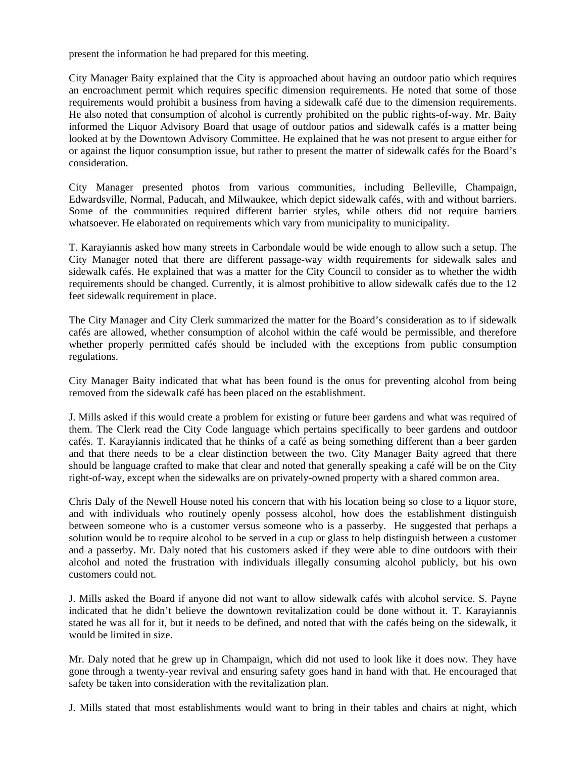present the information he had prepared for this meeting.

City Manager Baity explained that the City is approached about having an outdoor patio which requires an encroachment permit which requires specific dimension requirements. He noted that some of those requirements would prohibit a business from having a sidewalk café due to the dimension requirements. He also noted that consumption of alcohol is currently prohibited on the public rights-of-way. Mr. Baity informed the Liquor Advisory Board that usage of outdoor patios and sidewalk cafés is a matter being looked at by the Downtown Advisory Committee. He explained that he was not present to argue either for or against the liquor consumption issue, but rather to present the matter of sidewalk cafés for the Board's consideration.

City Manager presented photos from various communities, including Belleville, Champaign, Edwardsville, Normal, Paducah, and Milwaukee, which depict sidewalk cafés, with and without barriers. Some of the communities required different barrier styles, while others did not require barriers whatsoever. He elaborated on requirements which vary from municipality to municipality.

T. Karayiannis asked how many streets in Carbondale would be wide enough to allow such a setup. The City Manager noted that there are different passage-way width requirements for sidewalk sales and sidewalk cafés. He explained that was a matter for the City Council to consider as to whether the width requirements should be changed. Currently, it is almost prohibitive to allow sidewalk cafés due to the 12 feet sidewalk requirement in place.

The City Manager and City Clerk summarized the matter for the Board's consideration as to if sidewalk cafés are allowed, whether consumption of alcohol within the café would be permissible, and therefore whether properly permitted cafés should be included with the exceptions from public consumption regulations.

City Manager Baity indicated that what has been found is the onus for preventing alcohol from being removed from the sidewalk café has been placed on the establishment.

J. Mills asked if this would create a problem for existing or future beer gardens and what was required of them. The Clerk read the City Code language which pertains specifically to beer gardens and outdoor cafés. T. Karayiannis indicated that he thinks of a café as being something different than a beer garden and that there needs to be a clear distinction between the two. City Manager Baity agreed that there should be language crafted to make that clear and noted that generally speaking a café will be on the City right-of-way, except when the sidewalks are on privately-owned property with a shared common area.

Chris Daly of the Newell House noted his concern that with his location being so close to a liquor store, and with individuals who routinely openly possess alcohol, how does the establishment distinguish between someone who is a customer versus someone who is a passerby. He suggested that perhaps a solution would be to require alcohol to be served in a cup or glass to help distinguish between a customer and a passerby. Mr. Daly noted that his customers asked if they were able to dine outdoors with their alcohol and noted the frustration with individuals illegally consuming alcohol publicly, but his own customers could not.

J. Mills asked the Board if anyone did not want to allow sidewalk cafés with alcohol service. S. Payne indicated that he didn't believe the downtown revitalization could be done without it. T. Karayiannis stated he was all for it, but it needs to be defined, and noted that with the cafés being on the sidewalk, it would be limited in size.

Mr. Daly noted that he grew up in Champaign, which did not used to look like it does now. They have gone through a twenty-year revival and ensuring safety goes hand in hand with that. He encouraged that safety be taken into consideration with the revitalization plan.

J. Mills stated that most establishments would want to bring in their tables and chairs at night, which